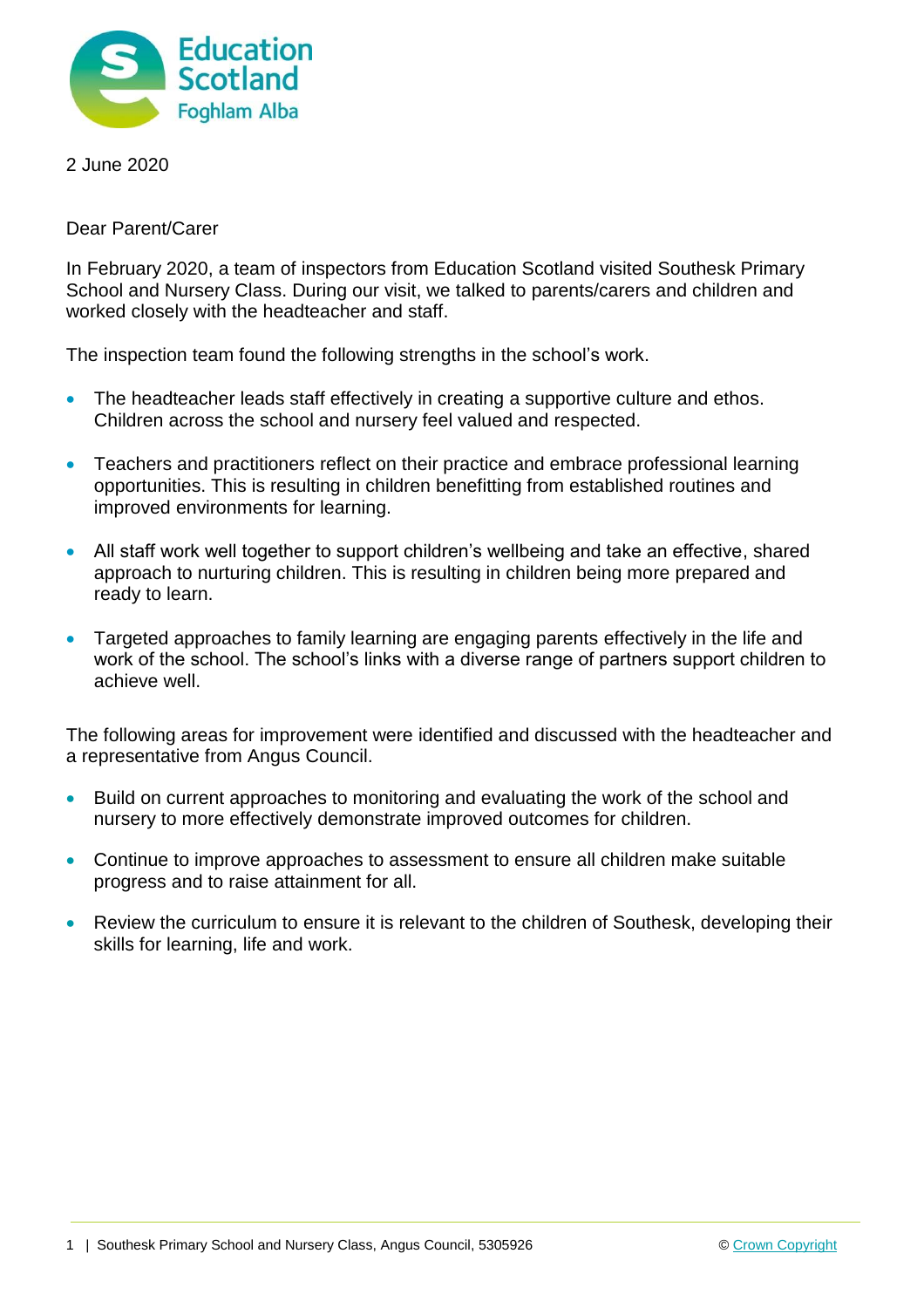

2 June 2020

Dear Parent/Carer

In February 2020, a team of inspectors from Education Scotland visited Southesk Primary School and Nursery Class. During our visit, we talked to parents/carers and children and worked closely with the headteacher and staff.

The inspection team found the following strengths in the school's work.

- The headteacher leads staff effectively in creating a supportive culture and ethos. Children across the school and nursery feel valued and respected.
- Teachers and practitioners reflect on their practice and embrace professional learning opportunities. This is resulting in children benefitting from established routines and improved environments for learning.
- All staff work well together to support children's wellbeing and take an effective, shared approach to nurturing children. This is resulting in children being more prepared and ready to learn.
- Targeted approaches to family learning are engaging parents effectively in the life and work of the school. The school's links with a diverse range of partners support children to achieve well.

The following areas for improvement were identified and discussed with the headteacher and a representative from Angus Council.

- Build on current approaches to monitoring and evaluating the work of the school and nursery to more effectively demonstrate improved outcomes for children.
- Continue to improve approaches to assessment to ensure all children make suitable progress and to raise attainment for all.
- Review the curriculum to ensure it is relevant to the children of Southesk, developing their skills for learning, life and work.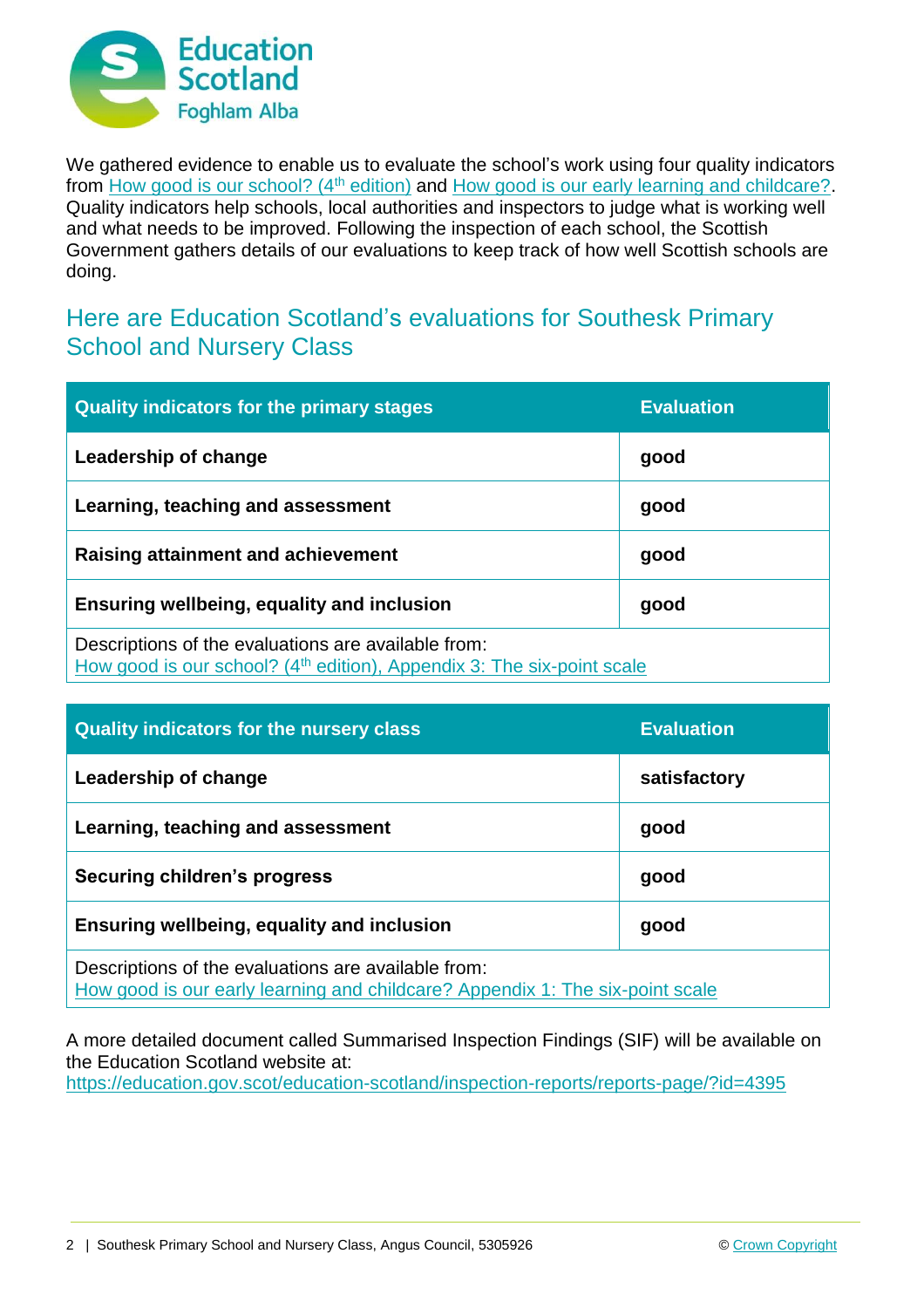

We gathered evidence to enable us to evaluate the school's work using four quality indicators from [How good is our school? \(4](https://education.gov.scot/improvement/Documents/Frameworks_SelfEvaluation/FRWK2_NIHeditHGIOS/FRWK2_HGIOS4.pdf)<sup>th</sup> edition) and [How good is our early learning and childcare?.](https://education.gov.scot/improvement/Documents/Frameworks_SelfEvaluation/FRWK1_NIHeditSelf-evaluationHGIELC/HGIOELC020316Revised.pdf) Quality indicators help schools, local authorities and inspectors to judge what is working well and what needs to be improved. Following the inspection of each school, the Scottish Government gathers details of our evaluations to keep track of how well Scottish schools are doing.

## Here are Education Scotland's evaluations for Southesk Primary School and Nursery Class

| <b>Quality indicators for the primary stages</b>                                                                                          | <b>Evaluation</b> |
|-------------------------------------------------------------------------------------------------------------------------------------------|-------------------|
| Leadership of change                                                                                                                      | good              |
| Learning, teaching and assessment                                                                                                         | good              |
| Raising attainment and achievement                                                                                                        | good              |
| <b>Ensuring wellbeing, equality and inclusion</b>                                                                                         | good              |
| Descriptions of the evaluations are available from:<br>How good is our school? (4 <sup>th</sup> edition), Appendix 3: The six-point scale |                   |

| <b>Quality indicators for the nursery class</b>                                                                                      | <b>Evaluation</b> |
|--------------------------------------------------------------------------------------------------------------------------------------|-------------------|
| Leadership of change                                                                                                                 | satisfactory      |
| Learning, teaching and assessment                                                                                                    | good              |
| <b>Securing children's progress</b>                                                                                                  | good              |
| Ensuring wellbeing, equality and inclusion                                                                                           | good              |
| Descriptions of the evaluations are available from:<br>How good is our early learning and childcare? Appendix 1: The six-point scale |                   |

A more detailed document called Summarised Inspection Findings (SIF) will be available on the Education Scotland website at:

<https://education.gov.scot/education-scotland/inspection-reports/reports-page/?id=4395>